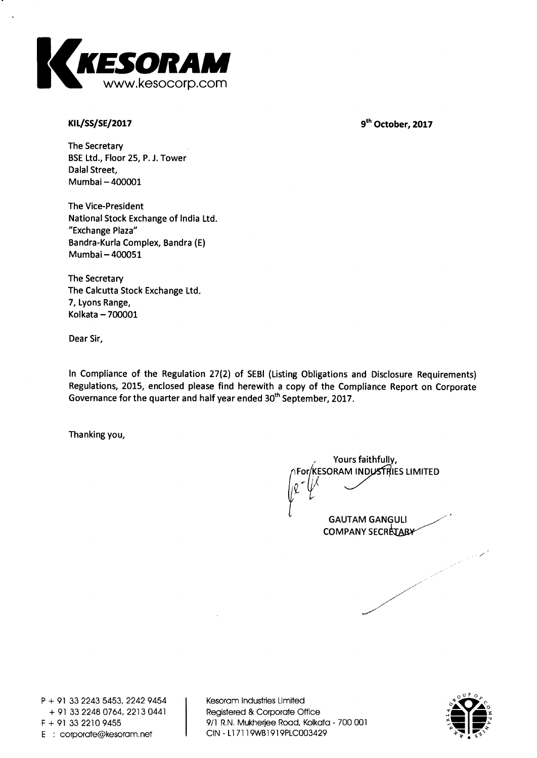

**KIL/SS/SE/2017** 9<sup>th</sup> October, 2017

**The Secretary BSE Ltd., Floor 25, P. J. Tower Dalai Street, Mumbai — 400001** 

**The Vice-President National Stock Exchange of India Ltd. "Exchange Plaza" Bandra-Kurla Complex, Bandra (E) Mumbai — 400051** 

**The Secretary The Calcutta Stock Exchange Ltd. 7, Lyons Range, Kolkata — 700001** 

**Dear Sir,** 

**In Compliance of the Regulation 27(2) of SEBI (Listing Obligations and Disclosure Requirements) Regulations, 2015, enclosed please find herewith a copy of the Compliance Report on Corporate Governance for the quarter and half year ended 30th September, 2017.** 

**Thanking you,** 

**Yours faithfully, For KESORAM INDUSTRIES LIMITED GAUTAM GANGULI** 

**COMPANY SECRETARY** 

**P + 91 33 2243 5453, 2242 9454 + 91 33 2248 0764, 2213 0441 E** : corporate@kesoram.net

**Kesoram Industries Limited Registered & Corporate Office F + 91 33 2210 9455 9/1 R.N. Mukherjee Road, Kolkata - 700 001** 

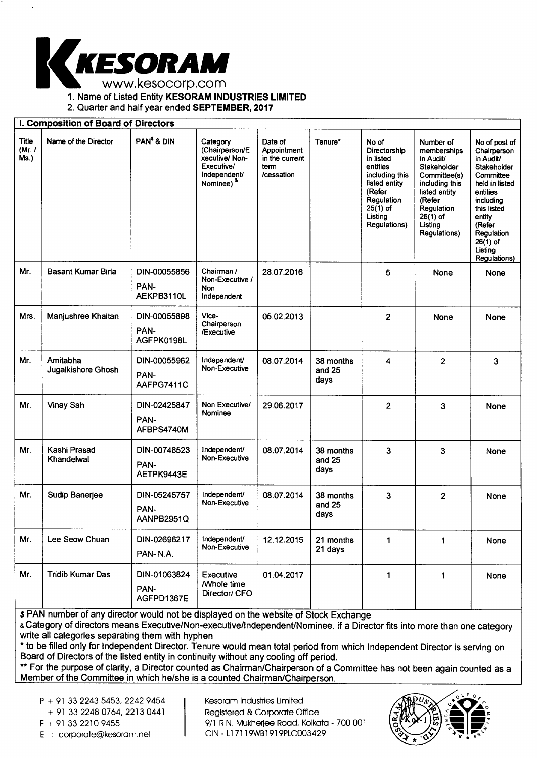

1. Name of Listed Entity **KESORAM INDUSTRIES LIMITED** 

2. Quarter and half year ended **SEPTEMBER, 2017** 

|                           | I. Composition of Board of Directors |                                    |                                                                                                        |                                                                |                             |                                                                                                                                                           |                                                                                                                                                                          |                                                                                                                                                                                                            |
|---------------------------|--------------------------------------|------------------------------------|--------------------------------------------------------------------------------------------------------|----------------------------------------------------------------|-----------------------------|-----------------------------------------------------------------------------------------------------------------------------------------------------------|--------------------------------------------------------------------------------------------------------------------------------------------------------------------------|------------------------------------------------------------------------------------------------------------------------------------------------------------------------------------------------------------|
| Title<br>(Mr. $/$<br>Ms.) | Name of the Director                 | PAN <sup>\$</sup> & DIN            | Category<br>(Chairperson/E<br>xecutive/Non-<br>Executive/<br>Independent/<br>Nominee) <sup>&amp;</sup> | Date of<br>Appointment<br>in the current<br>term<br>/cessation | Tenure*                     | No of<br>Directorship<br>in listed<br>entities<br>including this<br>listed entity<br>(Refer<br>Regulation<br>$25(1)$ of<br>Listing<br><b>Regulations)</b> | Number of<br>memberships<br>in Audit/<br>Stakeholder<br>Committee(s)<br>including this<br>listed entity<br>(Refer<br>Regulation<br>$26(1)$ of<br>Listing<br>Regulations) | No of post of<br>Chairperson<br>in Audit/<br>Stakeholder<br>Committee<br>held in listed<br>entities<br>including<br>this listed<br>entity<br>(Refer<br>Regulation<br>$26(1)$ of<br>Listing<br>Regulations) |
| Mr.                       | <b>Basant Kumar Birla</b>            | DIN-00055856<br>PAN-<br>AEKPB3110L | Chairman /<br>Non-Executive /<br>Non<br>Independent                                                    | 28.07.2016                                                     |                             | 5                                                                                                                                                         | None                                                                                                                                                                     | None                                                                                                                                                                                                       |
| Mrs.                      | Manjushree Khaitan                   | DIN-00055898<br>PAN-<br>AGFPK0198L | Vice-<br>Chairperson<br>/Executive                                                                     | 05.02.2013                                                     |                             | $\overline{2}$                                                                                                                                            | None                                                                                                                                                                     | None                                                                                                                                                                                                       |
| Mr.                       | Amitabha<br>Jugalkishore Ghosh       | DIN-00055962<br>PAN-<br>AAFPG7411C | Independent/<br>Non-Executive                                                                          | 08.07.2014                                                     | 38 months<br>and 25<br>days | 4                                                                                                                                                         | $\overline{2}$                                                                                                                                                           | 3                                                                                                                                                                                                          |
| Mr.                       | Vinay Sah                            | DIN-02425847<br>PAN-<br>AFBPS4740M | Non Executive/<br>Nominee                                                                              | 29.06.2017                                                     |                             | $\mathbf{2}$                                                                                                                                              | 3                                                                                                                                                                        | None                                                                                                                                                                                                       |
| Mr.                       | Kashi Prasad<br>Khandelwal           | DIN-00748523<br>PAN-<br>AETPK9443E | Independent/<br>Non-Executive                                                                          | 08.07.2014                                                     | 38 months<br>and 25<br>days | 3                                                                                                                                                         | 3                                                                                                                                                                        | None                                                                                                                                                                                                       |
| Mr.                       | Sudip Banerjee                       | DIN-05245757<br>PAN-<br>AANPB2951Q | Independent/<br>Non-Executive                                                                          | 08.07.2014                                                     | 38 months<br>and 25<br>days | 3                                                                                                                                                         | $\overline{2}$                                                                                                                                                           | None                                                                                                                                                                                                       |
| Mr.                       | Lee Seow Chuan                       | DIN-02696217<br>PAN-N.A.           | Independent/<br>Non-Executive                                                                          | 12.12.2015                                                     | 21 months<br>21 days        | 1                                                                                                                                                         | $\mathbf{1}$                                                                                                                                                             | None                                                                                                                                                                                                       |
| Mr.                       | <b>Tridib Kumar Das</b>              | DIN-01063824<br>PAN-<br>AGFPD1367E | Executive<br><b>Mhole time</b><br>Director/ CFO                                                        | 01.04.2017                                                     |                             | 1                                                                                                                                                         | 1                                                                                                                                                                        | None                                                                                                                                                                                                       |

**\$** PAN number of any director would not be displayed on the website of Stock Exchange

& Category of directors means Executive/Non-executive/Independent/Nominee. if a Director fits into more than one category write all categories separating them with hyphen

\* to be filled only for Independent Director. Tenure would mean total period from which Independent Director is serving on Board of Directors of the listed entity in continuity without any cooling off period.

\*\* For the purpose of clarity, a Director counted as Chairman/Chairperson of a Committee has not been again counted as a Member of the Committee in which he/she is a counted Chairman/Chairperson.

P + 91 33 2243 5453, 2242 9454

+ 91 33 2248 0764, 2213 0441

E : corporate@kesoram.net

Kesoram Industries Limited Registered & Corporate Office F + 91 33 2210 9455 9/1 R.N. Mukherjee Road, Kolkata - 700 001<br>E : corporate@kesoram.net CIN - L17119WB1919PLC003429

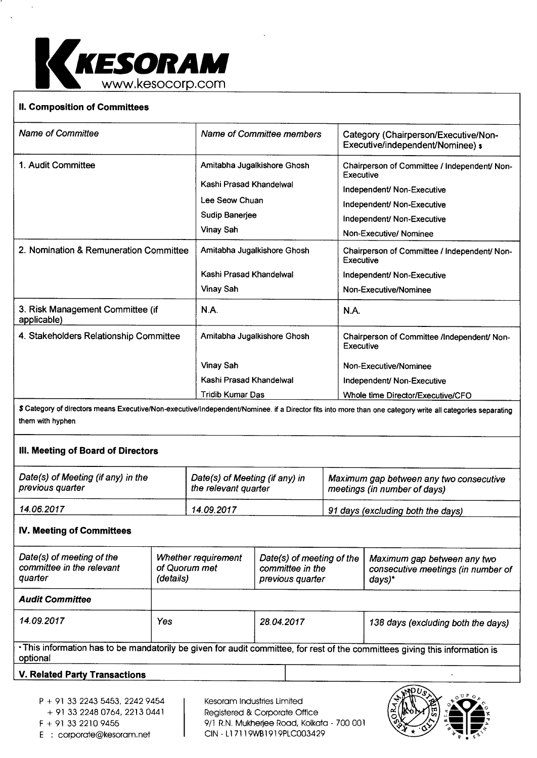

# **II. Composition of Committees**

| <b>Name of Committee</b>                        | Name of Committee members                                                                               | Category (Chairperson/Executive/Non-<br>Executive/independent/Nominee) s                                                                                                      |
|-------------------------------------------------|---------------------------------------------------------------------------------------------------------|-------------------------------------------------------------------------------------------------------------------------------------------------------------------------------|
| 1. Audit Committee                              | Amitabha Jugalkishore Ghosh<br>Kashi Prasad Khandelwal<br>Lee Seow Chuan<br>Sudip Banerjee<br>Vinay Sah | Chairperson of Committee / Independent/ Non-<br>Executive<br>Independent/ Non-Executive<br>Independent/ Non-Executive<br>Independent/ Non-Executive<br>Non-Executive/ Nominee |
| 2. Nomination & Remuneration Committee          | Amitabha Jugalkishore Ghosh<br>Kashi Prasad Khandelwal<br>Vinay Sah                                     | Chairperson of Committee / Independent/ Non-<br>Executive<br>Independent/ Non-Executive<br>Non-Executive/Nominee                                                              |
| 3. Risk Management Committee (if<br>applicable) | N.A.                                                                                                    | N.A.                                                                                                                                                                          |
| 4. Stakeholders Relationship Committee          | Amitabha Jugalkishore Ghosh                                                                             | Chairperson of Committee /Independent/ Non-<br>Executive                                                                                                                      |
|                                                 | <b>Vinay Sah</b>                                                                                        | Non-Executive/Nominee                                                                                                                                                         |
|                                                 | Kashi Prasad Khandelwal                                                                                 | Independent/ Non-Executive                                                                                                                                                    |
|                                                 | <b>Tridib Kumar Das</b>                                                                                 | Whole time Director/Executive/CFO                                                                                                                                             |

\$ Category of directors means Executive/Non-executive/Independent/Nominee. if a Director fits into more than one category write all categories separating them with hyphen

## **III. Meeting of Board of Directors**

| Date(s) of Meeting (if any) in the | Date(s) of Meeting (if any) in | Maximum gap between any two consecutive |
|------------------------------------|--------------------------------|-----------------------------------------|
| previous quarter                   | the relevant quarter           | meetings (in number of days)            |
| 14.06.2017                         | 14.09.2017                     | 91 days (excluding both the days)       |

## **IV. Meeting of Committees**

| Date(s) of meeting of the<br>committee in the relevant<br>quarter | Whether requirement<br>of Quorum met<br>(details) | Date(s) of meeting of the<br>committee in the<br>previous quarter | Maximum gap between any two<br>consecutive meetings (in number of<br>days)*                                                  |  |
|-------------------------------------------------------------------|---------------------------------------------------|-------------------------------------------------------------------|------------------------------------------------------------------------------------------------------------------------------|--|
| <b>Audit Committee</b>                                            |                                                   |                                                                   |                                                                                                                              |  |
| 14.09.2017                                                        | Yes                                               | 28.04.2017                                                        | 138 days (excluding both the days)                                                                                           |  |
| optional                                                          |                                                   |                                                                   | . This information has to be mandatorily be given for audit committee, for rest of the committees giving this information is |  |

### **V. Related Party Transactions**

+ 91 33 2248 0764, 2213 0441

E : corporate@kesoram.net

Kesoram Industries Limited Registered & Corporate Office F + 91 33 2210 9455 9/1 R.N. Mukherjee Road, Kolkata - 700 001<br>E : corporate@kesoram.net CIN - L17119WB1919PLC003429

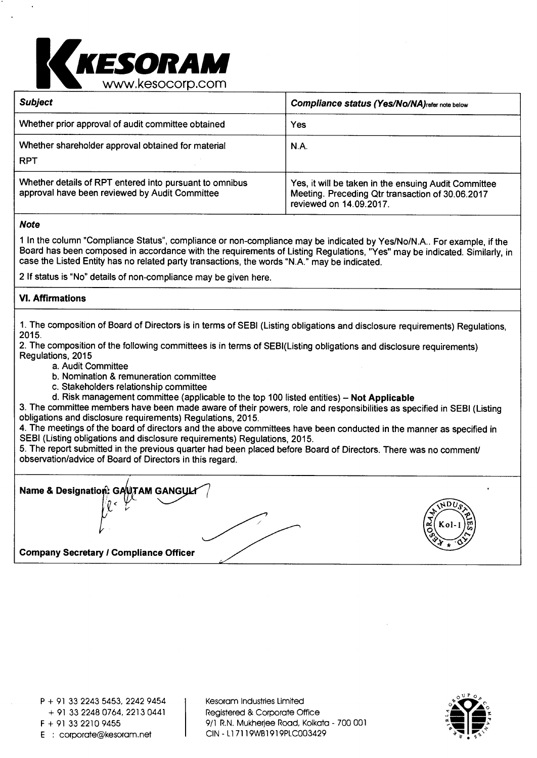

| <b>Subject</b>                                                                                            | Compliance status (Yes/No/NA) refer note below                                                                                      |
|-----------------------------------------------------------------------------------------------------------|-------------------------------------------------------------------------------------------------------------------------------------|
| Whether prior approval of audit committee obtained                                                        | Yes                                                                                                                                 |
| Whether shareholder approval obtained for material<br><b>RPT</b>                                          | N.A.                                                                                                                                |
| Whether details of RPT entered into pursuant to omnibus<br>approval have been reviewed by Audit Committee | Yes, it will be taken in the ensuing Audit Committee<br>Meeting. Preceding Qtr transaction of 30.06.2017<br>reviewed on 14.09.2017. |

**Note** 

1 In the column "Compliance Status", compliance or non-compliance may be indicated by Yes/No/N.A.. For example, if the Board has been composed in accordance with the requirements of Listing Regulations, "Yes" may be indicated. Similarly, in case the Listed Entity has no related party transactions, the words "N.A." may be indicated.

2 If status is "No" details of non-compliance may be given here.

# **VI. Affirmations**

1. The composition of Board of Directors is in terms of SEBI (Listing obligations and disclosure requirements) Regulations, 2015.

2. The composition of the following committees is in terms of SEBI(Listing obligations and disclosure requirements) Regulations, 2015

- a. Audit Committee
- b. Nomination & remuneration committee
- c. Stakeholders relationship committee
- d. Risk management committee (applicable to the top 100 listed entities) **Not Applicable**

3. The committee members have been made aware of their powers, role and responsibilities as specified in SEBI (Listing obligations and disclosure requirements) Regulations, 2015.

4. The meetings of the board of directors and the above committees have been conducted in the manner as specified in SEBI (Listing obligations and disclosure requirements) Regulations, 2015.

5. The report submitted in the previous quarter had been placed before Board of Directors. There was no comment/ observation/advice of Board of Directors in this regard.

**Name & Designation: GAWTAM GANGU Company Secretary / Compliance Officer**   $\overline{MDU}$  $\sum_{n=0}^{\infty}$  K ol - 1  $\sum_{n=0}^{\infty}$ ,...  $37.6$ 

Kesoram Industries Limited Registered & Corporate Office F + 91 33 2210 9455 9/1 R.N. Mukherjee Road, Kolkata - 700 001<br>E : corporate@kesoram.net CIN - L17119WB1919PLC003429